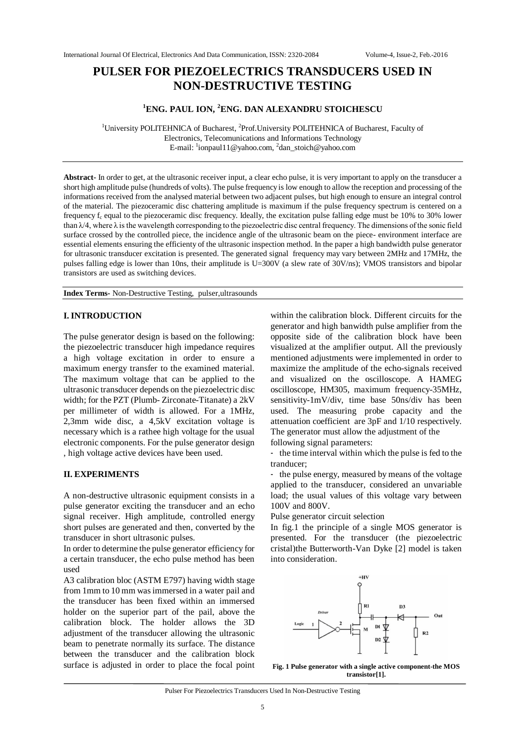# **PULSER FOR PIEZOELECTRICS TRANSDUCERS USED IN NON-DESTRUCTIVE TESTING**

## **<sup>1</sup>ENG. PAUL ION, <sup>2</sup>ENG. DAN ALEXANDRU STOICHESCU**

<sup>1</sup>University POLITEHNICA of Bucharest, <sup>2</sup>Prof. University POLITEHNICA of Bucharest, Faculty of Electronics, Telecomunications and Informations Technology E-mail: <sup>1</sup>ionpaul11@yahoo.com, <sup>2</sup>dan\_stoich@yahoo.com

**Abstract-** In order to get, at the ultrasonic receiver input, a clear echo pulse, it is very important to apply on the transducer a short high amplitude pulse (hundreds of volts). The pulse frequency is low enough to allow the reception and processing of the informations received from the analysed material between two adjacent pulses, but high enough to ensure an integral control of the material. The piezoceramic disc chattering amplitude is maximum if the pulse frequency spectrum is centered on a frequency  $f_c$  equal to the piezoceramic disc frequency. Ideally, the excitation pulse falling edge must be 10% to 30% lower than  $\lambda/4$ , where  $\lambda$  is the wavelength corresponding to the piezoelectric disc central frequency. The dimensions of the sonic field surface crossed by the controlled piece, the incidence angle of the ultrasonic beam on the piece- environment interface are essential elements ensuring the efficienty of the ultrasonic inspection method. In the paper a high bandwidth pulse generator for ultrasonic transducer excitation is presented. The generated signal frequency may vary between 2MHz and 17MHz, the pulses falling edge is lower than 10ns, their amplitude is U=300V (a slew rate of 30V/ns); VMOS transistors and bipolar transistors are used as switching devices.

**Index Terms-** Non-Destructive Testing, pulser,ultrasounds

## **I. INTRODUCTION**

The pulse generator design is based on the following: the piezoelectric transducer high impedance requires a high voltage excitation in order to ensure a maximum energy transfer to the examined material. The maximum voltage that can be applied to the ultrasonic transducer depends on the piezoelectric disc width; for the PZT (Plumb- Zirconate-Titanate) a 2kV per millimeter of width is allowed. For a 1MHz, 2,3mm wide disc, a 4,5kV excitation voltage is necessary which is a rathee high voltage for the usual electronic components. For the pulse generator design , high voltage active devices have been used.

### **II. EXPERIMENTS**

A non-destructive ultrasonic equipment consists in a pulse generator exciting the transducer and an echo signal receiver. High amplitude, controlled energy short pulses are generated and then, converted by the transducer in short ultrasonic pulses.

In order to determine the pulse generator efficiency for a certain transducer, the echo pulse method has been used

A3 calibration bloc (ASTM E797) having width stage from 1mm to 10 mm was immersed in a water pail and the transducer has been fixed within an immersed holder on the superior part of the pail, above the calibration block. The holder allows the 3D adjustment of the transducer allowing the ultrasonic beam to penetrate normally its surface. The distance between the transducer and the calibration block surface is adjusted in order to place the focal point

within the calibration block. Different circuits for the generator and high banwidth pulse amplifier from the opposite side of the calibration block have been visualized at the amplifier output. All the previously mentioned adjustments were implemented in order to maximize the amplitude of the echo-signals received and visualized on the oscilloscope. A HAMEG oscilloscope, HM305, maximum frequency-35MHz, sensitivity-1mV/div, time base 50ns/div has been used. The measuring probe capacity and the attenuation coefficient are 3pF and 1/10 respectively. The generator must allow the adjustment of the following signal parameters:

- the time interval within which the pulse is fed to the tranducer;

- the pulse energy, measured by means of the voltage applied to the transducer, considered an unvariable load; the usual values of this voltage vary between 100V and 800V.

Pulse generator circuit selection

In fig.1 the principle of a single MOS generator is presented. For the transducer (the piezoelectric cristal)the Butterworth-Van Dyke [2] model is taken into consideration.



**Fig. 1 Pulse generator with a single active component-the MOS transistor[1].**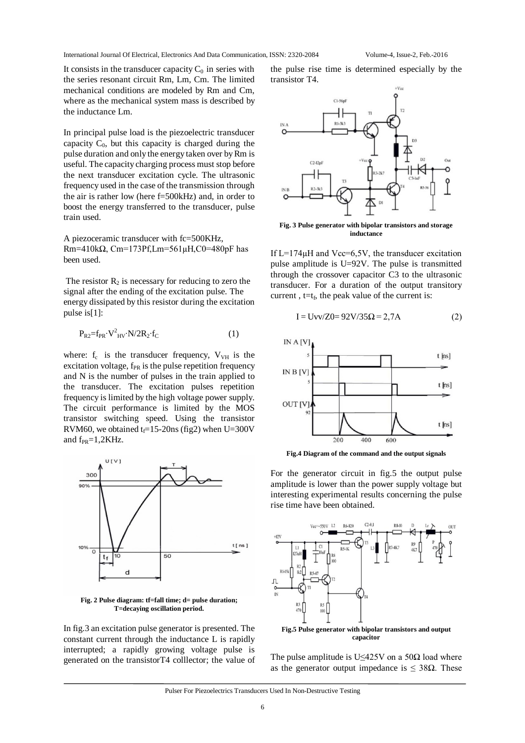International Journal Of Electrical, Electronics And Data Communication, ISSN: 2320-2084 Volume-4, Issue-2, Feb.-2016

It consists in the transducer capacity  $C_0$  in series with the series resonant circuit Rm, Lm, Cm. The limited mechanical conditions are modeled by Rm and Cm, where as the mechanical system mass is described by the inductance Lm.

In principal pulse load is the piezoelectric transducer capacity  $C_0$ , but this capacity is charged during the pulse duration and only the energy taken over by Rm is useful. The capacity charging process must stop before the next transducer excitation cycle. The ultrasonic frequency used in the case of the transmission through the air is rather low (here f=500kHz) and, in order to boost the energy transferred to the transducer, pulse train used.

A piezoceramic transducer with fc=500KHz, Rm=410kΩ, Cm=173Pf,Lm=561µH,C0=480pF has been used.

The resistor  $R_2$  is necessary for reducing to zero the signal after the ending of the excitation pulse. The energy dissipated by this resistor during the excitation pulse is[1]:

$$
P_{R2}=f_{PR}\cdot V^2_{HV}\cdot N/2R_2\cdot f_C\tag{1}
$$

where:  $f_c$  is the transducer frequency,  $V_{VH}$  is the excitation voltage,  $f_{PR}$  is the pulse repetition frequency and N is the number of pulses in the train applied to the transducer. The excitation pulses repetition frequency is limited by the high voltage power supply. The circuit performance is limited by the MOS transistor switching speed. Using the transistor RVM60, we obtained  $t_f$ =15-20ns (fig2) when U=300V and  $f_{PR}=1,2KHz$ .



**Fig. 2 Pulse diagram: tf=fall time; d= pulse duration; T=decaying oscillation period.**

In fig.3 an excitation pulse generator is presented. The constant current through the inductance L is rapidly interrupted; a rapidly growing voltage pulse is generated on the transistorT4 colllector; the value of the pulse rise time is determined especially by the transistor T4.



**Fig. 3 Pulse generator with bipolar transistors and storage inductance**

If  $L=174\mu$ H and Vcc=6,5V, the transducer excitation pulse amplitude is U=92V. The pulse is transmitted through the crossover capacitor C3 to the ultrasonic transducer. For a duration of the output transitory current,  $t=t_f$ , the peak value of the current is:

$$
I = Uvv/Z0 = 92V/35\Omega = 2,7A
$$
 (2)



**Fig.4 Diagram of the command and the output signals**

For the generator circuit in fig.5 the output pulse amplitude is lower than the power supply voltage but interesting experimental results concerning the pulse rise time have been obtained.



The pulse amplitude is U $\leq$ 425V on a 50 $\Omega$  load where as the generator output impedance is  $\leq$  38 $\Omega$ . These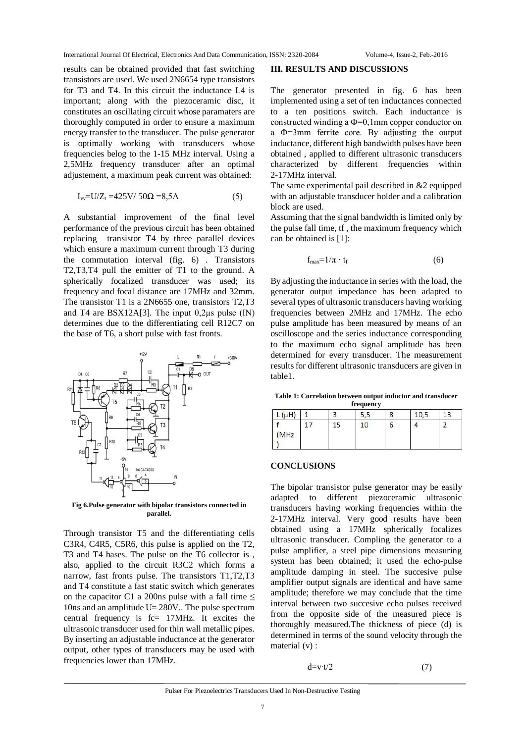results can be obtained provided that fast switching transistors are used. We used 2N6654 type transistors for T3 and T4. In this circuit the inductance L4 is important; along with the piezoceramic disc, it constitutes an oscillating circuit whose paramaters are thoroughly computed in order to ensure a maximum energy transfer to the transducer. The pulse generator is optimally working with transducers whose frequencies belog to the 1-15 MHz interval. Using a 2,5MHz frequency transducer after an optimal adjustement, a maximum peak current was obtained:

$$
I_{\rm w} = U/Z_{\rm t} = 425 \,\text{V} / 50 \,\Omega = 8,5 \,\text{A} \tag{5}
$$

A substantial improvement of the final level performance of the previous circuit has been obtained replacing transistor T4 by three parallel devices which ensure a maximum current through T3 during the commutation interval (fig. 6) . Transistors T2,T3,T4 pull the emitter of T1 to the ground. A spherically focalized transducer was used; its frequency and focal distance are 17MHz and 32mm. The transistor T1 is a 2N6655 one, transistors T2,T3 and T4 are  $BSX12A[3]$ . The input 0,2 $\mu$ s pulse (IN) determines due to the differentiating cell R12C7 on the base of T6, a short pulse with fast fronts.



**Fig 6.Pulse generator with bipolar transistors connected in parallel.**

Through transistor T5 and the differentiating cells C3R4, C4R5, C5R6, this pulse is applied on the T2, T3 and T4 bases. The pulse on the T6 collector is , also, applied to the circuit R3C2 which forms a narrow, fast fronts pulse. The transistors T1,T2,T3 and T4 constitute a fast static switch which generates on the capacitor C1 a 200ns pulse with a fall time  $\leq$ 10ns and an amplitude U= 280V.. The pulse spectrum central frequency is fc= 17MHz. It excites the ultrasonic transducer used for thin wall metallic pipes. By inserting an adjustable inductance at the generator output, other types of transducers may be used with frequencies lower than 17MHz.

#### **III. RESULTS AND DISCUSSIONS**

The generator presented in fig. 6 has been implemented using a set of ten inductances connected to a ten positions switch. Each inductance is constructed winding a Ф=0,1mm copper conductor on a Ф=3mm ferrite core. By adjusting the output inductance, different high bandwidth pulses have been obtained , applied to different ultrasonic transducers characterized by different frequencies within 2-17MHz interval.

The same experimental pail described in &2 equipped with an adjustable transducer holder and a calibration block are used.

Assuming that the signal bandwidth is limited only by the pulse fall time, tf , the maximum frequency which can be obtained is [1]:

$$
f_{\text{max}} = 1/\pi \cdot t_f \tag{6}
$$

By adjusting the inductance in series with the load, the generator output impedance has been adapted to several types of ultrasonic transducers having working frequencies between 2MHz and 17MHz. The echo pulse amplitude has been measured by means of an oscilloscope and the series inductance corresponding to the maximum echo signal amplitude has been determined for every transducer. The measurement results for different ultrasonic transducers are given in table1.

**Table 1: Correlation between output inductor and transducer frequency**

| 10<br>15<br>4<br>ь |  |
|--------------------|--|
| (MHz)              |  |

#### **CONCLUSIONS**

The bipolar transistor pulse generator may be easily adapted to different piezoceramic ultrasonic transducers having working frequencies within the 2-17MHz interval. Very good results have been obtained using a 17MHz spherically focalizes ultrasonic transducer. Compling the generator to a pulse amplifier, a steel pipe dimensions measuring system has been obtained; it used the echo-pulse amplitude damping in steel. The succesive pulse amplifier output signals are identical and have same amplitude; therefore we may conclude that the time interval between two succesive echo pulses received from the opposite side of the measured piece is thoroughly measured.The thickness of piece (d) is determined in terms of the sound velocity through the material (v) :

$$
d=v \cdot t/2 \tag{7}
$$